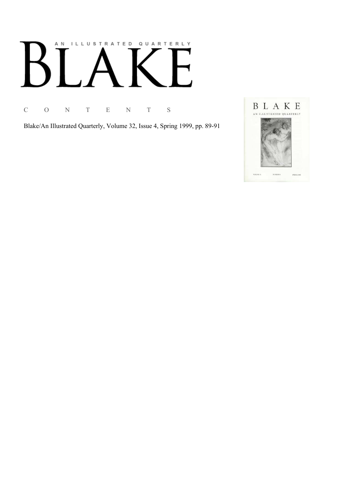# AN ILLUSTRATED QUARTERLY

C O N T E N T S

Blake/An Illustrated Quarterly, Volume 32, Issue 4, Spring 1999, pp. 89-91

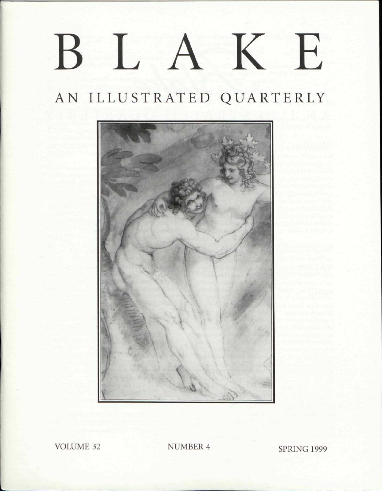## BLAK E

### AN ILLUSTRATED QUARTERLY



VOLUME 32 NUMBER 4 SPRING 1999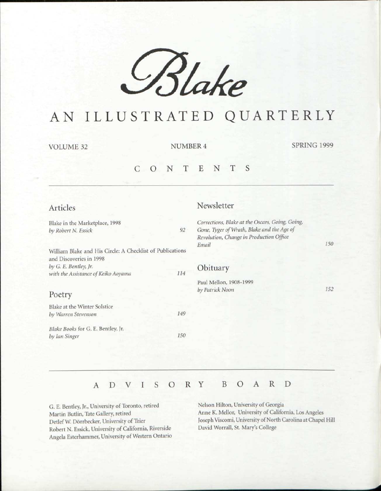

### AN ILLUSTRATED QUARTERLY

VOLUME 32 NUMBER 4 SPRING 1999

#### CONTENT S

| Articles                                                                             |     | Newsletter                                                                                                                                        |     |
|--------------------------------------------------------------------------------------|-----|---------------------------------------------------------------------------------------------------------------------------------------------------|-----|
| Blake in the Marketplace, 1998<br>by Robert N. Essick                                | 92  | Corrections, Blake at the Oscars, Going, Going,<br>Gone, Tyger of Wrath, Blake and the Age of<br>Revolution, Change in Production Office<br>Email | 150 |
| William Blake and His Circle: A Checklist of Publications<br>and Discoveries in 1998 |     |                                                                                                                                                   |     |
| by G. E. Bentley, Jr.<br>with the Assistance of Keiko Aoyama                         | 114 | Obituary                                                                                                                                          |     |
| Poetry                                                                               |     | Paul Mellon, 1908-1999<br>by Patrick Noon                                                                                                         | 152 |
| Blake at the Winter Solstice                                                         |     |                                                                                                                                                   |     |
| by Warren Stevenson                                                                  | 149 |                                                                                                                                                   |     |
| Blake Books for G. E. Bentley, Jr.<br>by Ian Singer                                  | 150 |                                                                                                                                                   |     |
|                                                                                      |     |                                                                                                                                                   |     |

#### ADVISOR Y BOAR D

G. E. Bentley, Jr., University of Toronto, retired Martin Butlin, Tate Gallery, retired Detlef W. Dörrbecker, University of Trier Robert N. Essick, University of California, Riverside Angela Esterhammer, University of Western Ontario

Nelson Hilton, University of Georgia Anne K. Mellor, University of California, Los Angeles Joseph Viscomi, University of North Carolina at Chapel Hill David Worrall, St. Mary's College